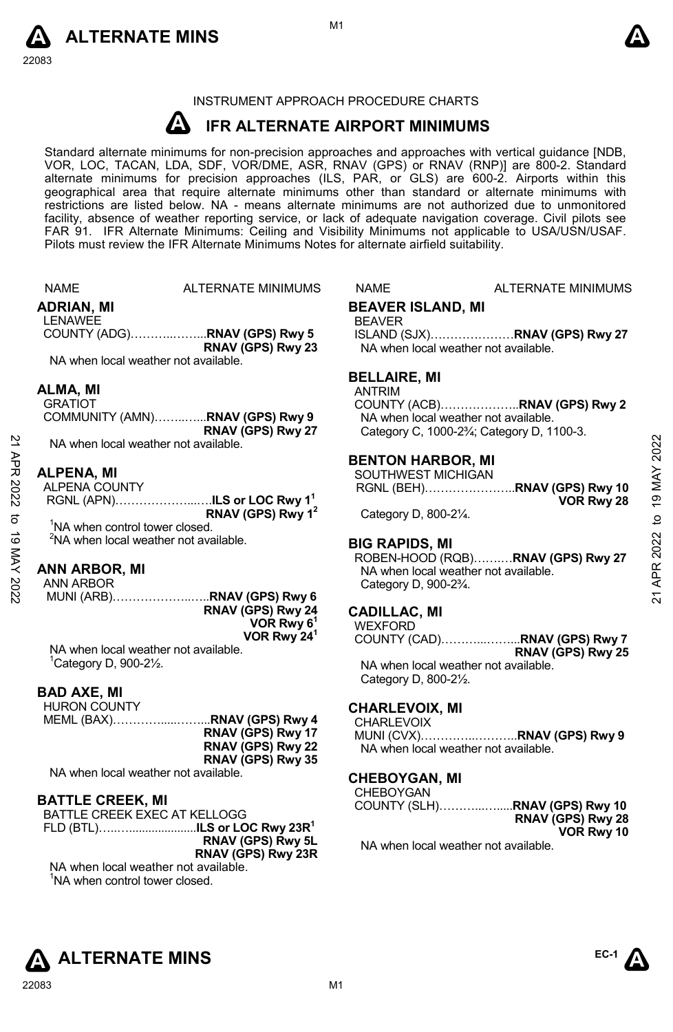



# INSTRUMENT APPROACH PROCEDURE CHARTS

#### **A IFR ALTERNATE AIRPORT MINIMUMS**

Standard alternate minimums for non-precision approaches and approaches with vertical guidance [NDB,<br>VOR, LOC, TACAN, LDA, SDF, VOR/DME, ASR, RNAV (GPS) or RNAV (RNP)] are 800-2. Standard alternate minimums for precision approaches (ILS, PAR, or GLS) are 600-2. Airports within this geographical area that require alternate minimums other than standard or alternate minimums with restrictions are listed below. NA - means alternate minimums are not authorized due to unmonitored facility, absence of weather reporting service, or lack of adequate navigation coverage. Civil pilots see FAR 91. IFR Alternate Minimums: Ceiling and Visibility Minimums not applicable to USA/USN/USAF. Pilots must review the IFR Alternate Minimums Notes for alternate airfield suitability.

|          | <b>NAME</b>                                | ALTERNATE MINIMUMS                                | NAME                              | ALTERNATE MINIMUMS                                                   |                 |
|----------|--------------------------------------------|---------------------------------------------------|-----------------------------------|----------------------------------------------------------------------|-----------------|
|          | ADRIAN, MI                                 |                                                   | <b>BEAVER ISLAND, MI</b>          |                                                                      |                 |
|          | <b>LENAWEE</b>                             |                                                   | <b>BEAVER</b>                     |                                                                      |                 |
|          |                                            | COUNTY (ADG)RNAV (GPS) Rwy 5                      |                                   | ISLAND (SJX)RNAV (GPS) Rwy 27                                        |                 |
|          |                                            | RNAV (GPS) Rwy 23                                 |                                   | NA when local weather not available.                                 |                 |
|          | NA when local weather not available.       |                                                   |                                   |                                                                      |                 |
|          |                                            |                                                   | <b>BELLAIRE, MI</b>               |                                                                      |                 |
|          | ALMA, MI                                   |                                                   | <b>ANTRIM</b>                     |                                                                      |                 |
|          | <b>GRATIOT</b>                             |                                                   |                                   | COUNTY (ACB)RNAV (GPS) Rwy 2                                         |                 |
|          |                                            | COMMUNITY (AMN)RNAV (GPS) Rwy 9                   |                                   | NA when local weather not available.                                 |                 |
|          |                                            | RNAV (GPS) Rwy 27                                 |                                   | Category C, 1000-2 <sup>3</sup> / <sub>4</sub> ; Category D, 1100-3. |                 |
|          | NA when local weather not available.       |                                                   |                                   |                                                                      | 2022            |
| APR 2022 |                                            |                                                   | <b>BENTON HARBOR, MI</b>          |                                                                      |                 |
|          | <b>ALPENA. MI</b>                          |                                                   | SOUTHWEST MICHIGAN                |                                                                      |                 |
|          | ALPENA COUNTY                              |                                                   |                                   | RGNL (BEH)RNAV (GPS) Rwy 10                                          | 19 MAY          |
|          |                                            | RGNL (APN)ILS or LOC Rwy 1 <sup>1</sup>           |                                   | VOR Rwy 28                                                           |                 |
| ಕ        |                                            | RNAV (GPS) Rwy 1 <sup>2</sup>                     | Category D, 800-21/4.             |                                                                      | $\overline{a}$  |
| ಠ        | <sup>1</sup> NA when control tower closed. |                                                   |                                   |                                                                      |                 |
|          |                                            | <sup>2</sup> NA when local weather not available. | <b>BIG RAPIDS, MI</b>             |                                                                      |                 |
|          |                                            |                                                   |                                   | ROBEN-HOOD (RQB)RNAV (GPS) Rwy 27                                    |                 |
| MAY 2022 | <b>ANN ARBOR, MI</b>                       |                                                   |                                   | NA when local weather not available.                                 | <b>APR 2022</b> |
|          | ANN ARBOR                                  |                                                   | Category D, 900-23/4.             |                                                                      |                 |
|          |                                            | MUNI (ARB)RNAV (GPS) Rwy 6                        |                                   |                                                                      | $\overline{2}$  |
|          |                                            | RNAV (GPS) Rwy 24                                 | <b>CADILLAC, MI</b>               |                                                                      |                 |
|          |                                            | VOR Rwy 6 <sup>1</sup><br>VOR Rwy 24 <sup>1</sup> | <b>WEXFORD</b>                    |                                                                      |                 |
|          | NA when local weather not available.       |                                                   |                                   | COUNTY (CAD)RNAV (GPS) Rwy 7                                         |                 |
|          | $^1$ Category D, 900-2 $\frac{1}{2}$ .     |                                                   |                                   | RNAV (GPS) Rwy 25<br>NA when local weather not available.            |                 |
|          |                                            |                                                   |                                   |                                                                      |                 |
|          | <b>BAD AXE, MI</b>                         |                                                   | Category D, 800-21/2.             |                                                                      |                 |
|          | <b>HURON COUNTY</b>                        |                                                   |                                   |                                                                      |                 |
|          |                                            | MEML (BAX)RNAV (GPS) Rwy 4                        | <b>CHARLEVOIX, MI</b>             |                                                                      |                 |
|          |                                            | RNAV (GPS) Rwy 17                                 | CHARLEVOIX                        | MUNI (CVX)RNAV (GPS) Rwy 9                                           |                 |
|          |                                            | RNAV (GPS) Rwy 22                                 |                                   | NA when local weather not available.                                 |                 |
|          |                                            | RNAV (GPS) Rwy 35                                 |                                   |                                                                      |                 |
|          | NA when local weather not available.       |                                                   |                                   |                                                                      |                 |
|          |                                            |                                                   | <b>CHEBOYGAN, MI</b><br>CHEBOYGAN |                                                                      |                 |
|          | <b>BATTLE CREEK, MI</b>                    |                                                   |                                   | COUNTY (SLH)RNAV (GPS) Rwy 10                                        |                 |
|          | BATTLE CREEK EXEC AT KELLOGG               |                                                   |                                   | RNAV (GPS) Rwy 28                                                    |                 |
|          |                                            | FLD (BTL)ILS or LOC Rwy 23R <sup>1</sup>          |                                   | VOR Rwy 10                                                           |                 |
|          |                                            | RNAV (GPS) Rwy 5L                                 |                                   | NA when local weather not available.                                 |                 |
|          |                                            | RNAV (GPS) Rwy 23R                                |                                   |                                                                      |                 |



NA when local weather not available. <sup>1</sup>NA when control tower closed.

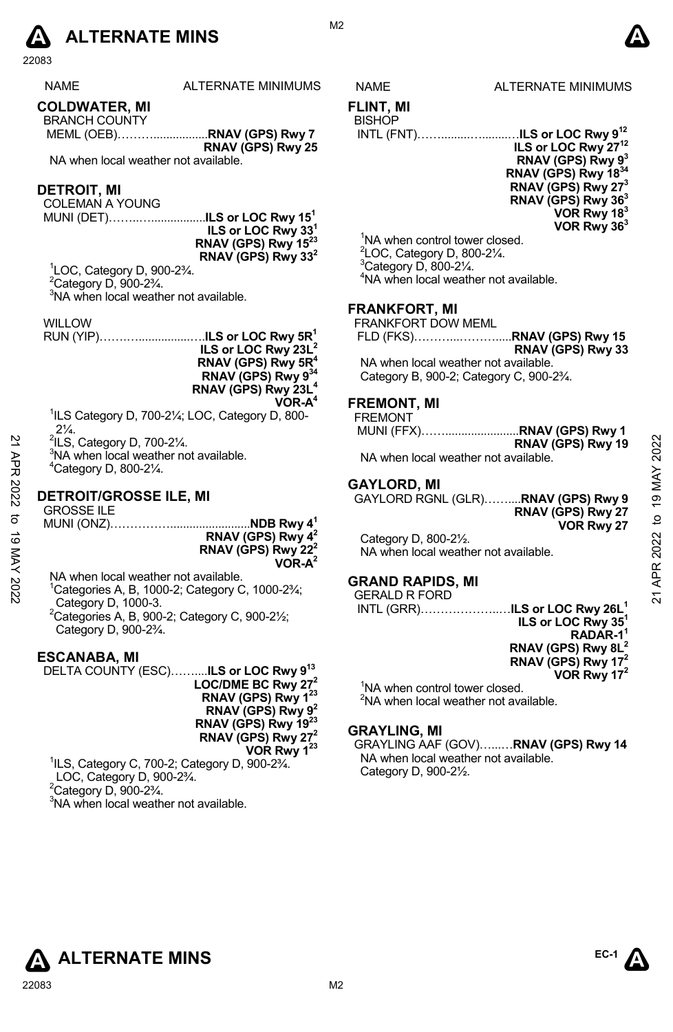

22083

| <b>NAME</b>             | <b>ALTERNATE MINIMUMS</b> |
|-------------------------|---------------------------|
| <b>AAI BIJIITER IJI</b> |                           |

**COLDWATER, MI**  BRANCH COUNTY

 MEML (OEB)……….................**RNAV (GPS) Rwy 7 RNAV (GPS) Rwy 25** 

NA when local weather not available.

### **DETROIT, MI**

COLEMAN A YOUNG

MUNI (DET)……..….................**ILS or LOC Rwy 151 ILS or LOC Rwy 331 RNAV (GPS) Rwy 1523 RNAV (GPS) Rwy 332**

1 LOC, Category D, 900-2¾.  $2$ Category D, 900-2 $\frac{3}{4}$ . <sup>3</sup>NA when local weather not available.

WILLOW

RUN (YIP)…….…................….**ILS or LOC Rwy 5R1 ILS or LOC Rwy 23L2 RNAV (GPS) Rwy 5R4 RNAV (GPS) Rwy 934 RNAV (GPS) Rwy 23L4 VOR-A4** 

<sup>1</sup>ILS Category D, 700-21/<sub>4</sub>; LOC, Category D, 800- $2\frac{1}{4}$ .

 $2$ ILS, Category D, 700-2 $\frac{1}{4}$ .

<sup>3</sup>NA when local weather not available. 4 Category D, 800-2¼.

# **DETROIT/GROSSE ILE, MI**

GROSSE ILE MUNI (ONZ)…………….........................**NDB Rwy 41 RNAV (GPS) Rwy 42 RNAV (GPS) Rwy 222 VOR-A2** 21  $\frac{21}{N}$  All S, Category D, 700-2<sup>1/</sup>4.<br>
<sup>21</sup>  $\frac{23}{N}$   $\frac{3}{N}$  A when local weather not available.<br>
21  $\frac{23}{N}$   $\frac{23}{N}$   $\frac{25}{N}$   $\frac{27}{N}$ <br> **21 DETROIT/GROSSE ILE, MI**<br>  $\frac{27}{N}$  **GAYLORD RGNL (GLR).....** 

NA when local weather not available.

 $1$ Categories A, B, 1000-2; Category C, 1000-2 $\frac{3}{4}$ ; Category D, 1000-3.  ${}^{2}$ Categories A, B, 900-2; Category C, 900-2 $\frac{1}{2}$ ; Category D, 900-2¾.

### **ESCANABA, MI**

DELTA COUNTY (ESC)……....**ILS or LOC Rwy 913 LOC/DME BC Rwy 272 RNAV (GPS) Rwy 123 RNAV (GPS) Rwy 92 RNAV (GPS) Rwy 1923 RNAV (GPS) Rwy 272 VOR Rwy 123** 1 ILS, Category C, 700-2; Category D, 900-2¾.

 LOC, Category D, 900-2¾.  $2^2$ Category D, 900-2 $\frac{3}{4}$ . <sup>3</sup>NA when local weather not available.



### S NAME ALTERNATE MINIMUMS

#### **FLINT, MI BISHOP**

INTL (FNT)…….........…........…**ILS or LOC Rwy 912**



<sup>1</sup>NA when control tower closed. LOC, Category D, 800-2¼. Category D, 800-2 $\frac{1}{4}$ . NA when local weather not available.

### **FRANKFORT, MI**

FRANKFORT DOW MEML

|                                                                    | RNAV (GPS) Rwy 33 |
|--------------------------------------------------------------------|-------------------|
| NA when local weather not available.                               |                   |
| Category B, 900-2; Category C, 900-2 <sup>3</sup> / <sub>4</sub> . |                   |

# **FREMONT, MI**

FREMONT

|                                      | RNAV (GPS) Rwy 19 |
|--------------------------------------|-------------------|
| NA when local weather not available. |                   |

## **GAYLORD, MI**

GAYLORD RGNL (GLR)……....**RNAV (GPS) Rwy 9 RNAV (GPS) Rwy 27 VOR Rwy 27** 

Category D, 800-2½. NA when local weather not available.

### **GRAND RAPIDS, MI**

GERALD R FORD INTL (GRR)………………..…**ILS or LOC Rwy 26L1**

**ILS or LOC Rwy 351 RADAR-11 RNAV (GPS) Rwy 8L2 RNAV (GPS) Rwy 172 VOR Rwy 172** 

<sup>1</sup>NA when control tower closed. <sup>2</sup>NA when local weather not available.

### **GRAYLING, MI**

GRAYLING AAF (GOV)…...…**RNAV (GPS) Rwy 14**  NA when local weather not available. Category D, 900-2½.

**ALTERNATE MINS**  $\qquad^{\text{EC-1}}$ 





M<sub>2</sub>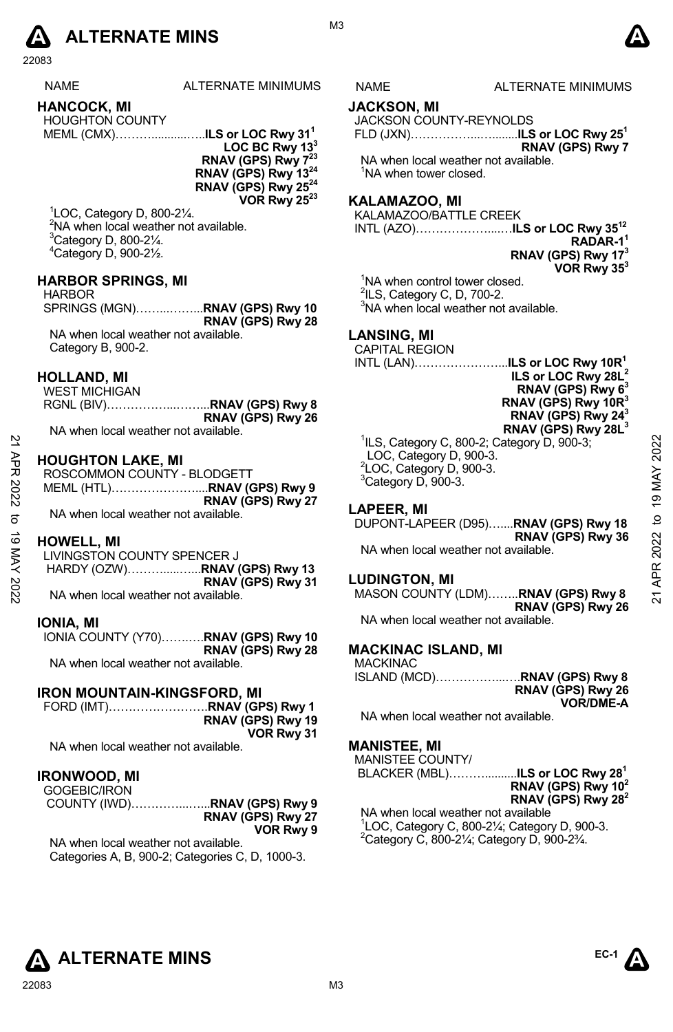

22083

| NAME                   | ALTERNATE MINIMUM |
|------------------------|-------------------|
| <b>HANCOCK, MI</b>     |                   |
| <b>HOUGHTON COUNTY</b> |                   |

MEML (CMX)………...........…..**ILS or LOC Rwy 311**

**LOC BC Rwy 133 RNAV (GPS) Rwy 7<sup>23</sup> RNAV (GPS) Rwy 1324 RNAV (GPS) Rwy 2524 VOR Rwy 2523**

 LOC, Category D, 800-2¼. <sup>2</sup>NA when local weather not available. Category D, 800-2 $\frac{1}{4}$ . Category D, 900-2½.

## **HARBOR SPRINGS, MI**

HARBOR SPRINGS (MGN)……...……...**RNAV (GPS) Rwy 10 RNAV (GPS) Rwy 28**  NA when local weather not available. Category B, 900-2.

### **HOLLAND, MI**

| WEST MICHIGAN                        |                                             |
|--------------------------------------|---------------------------------------------|
|                                      | RGNL (BIV)…………………… <b>.RNAV (GPS) Rwy 8</b> |
|                                      | RNAV (GPS) Rwy 26                           |
| NA when local weather not available. |                                             |

## **HOUGHTON LAKE, MI**

| ЯPR<br>2022 | <b>HOUGHTON LAKE, MI</b><br>ROSCOMMON COUNTY - BLODGETT   | <sup>1</sup> ILS, Category C, 800-2; Category D, 900-3;<br>LOC, Category D, 900-3.<br><sup>2</sup> LOC, Category D, 900-3.<br><sup>3</sup> Category D, 900-3. | 2022         |
|-------------|-----------------------------------------------------------|---------------------------------------------------------------------------------------------------------------------------------------------------------------|--------------|
| ನ           | RNAV (GPS) Rwy 27                                         | <b>LAPEER, MI</b>                                                                                                                                             | ග            |
|             | NA when local weather not available.                      | DUPONT-LAPEER (D95)RNAV (GPS) Rwy 18                                                                                                                          | $\mathsf{D}$ |
| ಠ           | <b>HOWELL, MI</b>                                         | RNAV (GPS) Rwy 36                                                                                                                                             | 2022         |
| KAY         | LIVINGSTON COUNTY SPENCER J                               | NA when local weather not available.                                                                                                                          |              |
| 2022        | RNAV (GPS) Rwy 31<br>NA when local weather not available. | <b>LUDINGTON, MI</b><br>MASON COUNTY (LDM)RNAV (GPS) Rwy 8                                                                                                    | ম            |

### **HOWELL, MI**

#### **IONIA, MI**

IONIA COUNTY (Y70)…….….**RNAV (GPS) Rwy 10 RNAV (GPS) Rwy 28**  NA when local weather not available.

### **IRON MOUNTAIN-KINGSFORD, MI**

FORD (IMT)…………………….**RNAV (GPS) Rwy 1 RNAV (GPS) Rwy 19 VOR Rwy 31** 

NA when local weather not available.

# **IRONWOOD, MI**

| GOGEBIC/IRON |                   |
|--------------|-------------------|
|              |                   |
|              | RNAV (GPS) Rwy 27 |
|              | VOR Rwy 9         |

NA when local weather not available. Categories A, B, 900-2; Categories C, D, 1000-3.

# **JACKSON, MI**

JACKSON COUNTY-REYNOLDS

FLD (JXN)……………...…........**ILS or LOC Rwy 251 RNAV (GPS) Rwy 7**

NA when local weather not available. <sup>1</sup>NA when tower closed.

# **KALAMAZOO, MI**

KALAMAZOO/BATTLE CREEK

INTL (AZO)………………....…**ILS or LOC Rwy 3512 RADAR-11 RNAV (GPS) Rwy 173 VOR Rwy 353** 

<sup>1</sup>NA when control tower closed.  $2$ ILS, Category C, D, 700-2.

<sup>3</sup>NA when local weather not available.

### **LANSING, MI**

CAPITAL REGION



### **LAPEER, MI**

### **LUDINGTON, MI**

MASON COUNTY (LDM)……..**RNAV (GPS) Rwy 8 RNAV (GPS) Rwy 26** NA when local weather not available.

**MACKINAC ISLAND, MI** 

MACKINAC ISLAND (MCD)……………...….**RNAV (GPS) Rwy 8 RNAV (GPS) Rwy 26** 

**VOR/DME-A**  NA when local weather not available.

#### **MANISTEE, MI**

MANISTEE COUNTY/

 BLACKER (MBL)………..........**ILS or LOC Rwy 281 RNAV (GPS) Rwy 102 RNAV (GPS) Rwy 282** 

NA when local weather not available  $^{1}$ LOC, Category C, 800-2¼; Category D, 900-3.  $^{2}$ Category C, 800-21⁄4; Category D, 900-23⁄4.





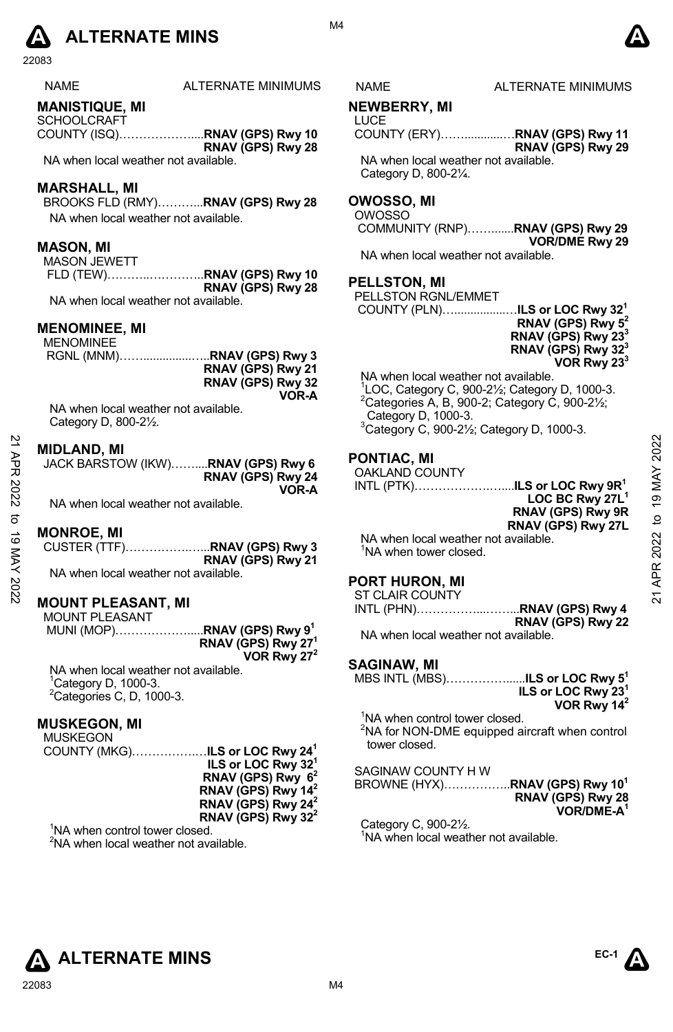

22083

| NAME |  |
|------|--|
|------|--|

ALTERNATE MINIMUMS NAME ALTERNATE MINIMUMS

# **MANISTIQUE, MI**

**SCHOOLCRAFT** COUNTY (ISQ)………………....**RNAV (GPS) Rwy 10 RNAV (GPS) Rwy 28** 

NA when local weather not available.

### **MARSHALL, MI**

BROOKS FLD (RMY)………...**RNAV (GPS) Rwy 28**  NA when local weather not available.

### **MASON, MI**

MASON JEWETT FLD (TEW)………..…………..**RNAV (GPS) Rwy 10 RNAV (GPS) Rwy 28**  NA when local weather not available.

**MENOMINEE, MI** 

#### **MENOMINEE**

| ------------- |                   |
|---------------|-------------------|
|               |                   |
|               | RNAV (GPS) Rwy 21 |
|               | RNAV (GPS) Rwy 32 |
|               | VOR-A             |
| .             |                   |

NA when local weather not available. Category D, 800-2½.

### **MIDLAND, MI**

| JACK BARSTOW (IKW)RNAV (GPS) Rwy 6 |                   |
|------------------------------------|-------------------|
|                                    | RNAV (GPS) Rwy 24 |
|                                    | VOR-A             |

NA when local weather not available.

#### **MONROE, MI**

|                                      | RNAV (GPS) Rwy 21 |
|--------------------------------------|-------------------|
| NA when local weather not available. |                   |

### **MOUNT PLEASANT, MI**

| <b>MOUNT PLEASANT</b> |                                         |
|-----------------------|-----------------------------------------|
|                       | MUNI (MOP)RNAV (GPS) Rwy 9 <sup>1</sup> |
|                       | RNAV (GPS) Rwy 27 <sup>1</sup>          |
|                       | VOR Rwy $27^2$                          |

NA when local weather not available. <sup>1</sup>Category D, 1000-3.  ${}^{2}$ Categories C, D, 1000-3.

# **MUSKEGON, MI**

MUSKEGON COUNTY (MKG)…………….…**ILS or LOC Rwy 241 ILS or LOC Rwy 321 RNAV (GPS) Rwy 62 RNAV (GPS) Rwy 142 RNAV (GPS) Rwy 242 RNAV (GPS) Rwy 322** 

<sup>1</sup>NA when control tower closed. <sup>2</sup>NA when local weather not available.

M4

### **NEWBERRY, MI**

LUCE COUNTY (ERY)……............…**RNAV (GPS) Rwy 11 RNAV (GPS) Rwy 29** 

NA when local weather not available. Category D, 800-2¼.

# **OWOSSO, MI**

#### OWOSSO

 COMMUNITY (RNP)…….......**RNAV (GPS) Rwy 29 VOR/DME Rwy 29**  NA when local weather not available.

### **PELLSTON, MI**

| PELLSTON RGNL/EMMET                               |                                |
|---------------------------------------------------|--------------------------------|
| COUNTY (PLN) <b>ILS or LOC Rwy 32<sup>1</sup></b> |                                |
|                                                   | RNAV (GPS) Rwy 5 <sup>2</sup>  |
|                                                   | RNAV (GPS) Rwy 23 <sup>3</sup> |
|                                                   | RNAV (GPS) Rwy 32 <sup>3</sup> |
|                                                   | VOR Rwy $233$                  |

NA when local weather not available.

 LOC, Category C, 900-2½; Category D, 1000-3. Categories A, B, 900-2; Category C, 900-2 $\frac{1}{2}$ ; Category D, 1000-3. Category C, 900-21⁄2; Category D, 1000-3.

# **PONTIAC, MI**

#### OAKLAND COUNTY INTL (PTK)……………….…....**ILS or LOC Rwy 9R1**

**LOC BC Rwy 27L1 RNAV (GPS) Rwy 9R RNAV (GPS) Rwy 27L**  MIDLAND, MI<br>
32 MIDLAND, MI<br>
32 MA when local weather not available.<br>
21 MA when local weather not available.<br>
21 MA when local weather not available.<br>
21 MA when local weather not available.<br>
21 MA when local weather not

NA when local weather not available. <sup>1</sup>NA when tower closed.

#### **PORT HURON, MI**

ST CLAIR COUNTY

INTL (PHN)……………...……...**RNAV (GPS) Rwy 4 RNAV (GPS) Rwy 22** 

NA when local weather not available.

### **SAGINAW, MI**

| MBS INTL (MBS) <b>ILS or LOC Rwy 5<sup>1</sup></b>                                                                        | ILS or LOC Rwy <sup>231</sup><br>VOR Rwy 14 <sup>2</sup> |
|---------------------------------------------------------------------------------------------------------------------------|----------------------------------------------------------|
| <sup>1</sup> NA when control tower closed.<br><sup>2</sup> NA for NON-DME equipped aircraft when control<br>tower closed. |                                                          |
| SAGINAW COUNTY HW<br>BROWNE (HYX)RNAV (GPS) Rwy 10 <sup>1</sup>                                                           | RNAV (GPS) Rwy 28                                        |

**VOR/DME-A1** 

Category C, 900-2½. <sup>1</sup>NA when local weather not available.